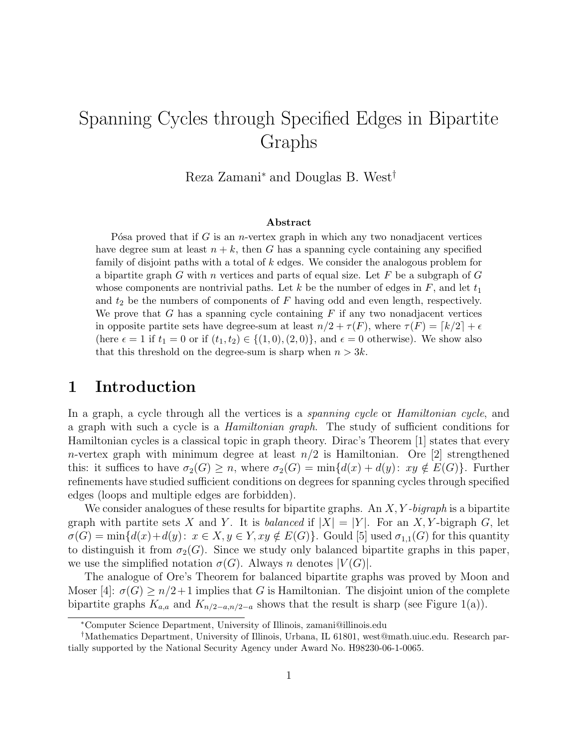# Spanning Cycles through Specified Edges in Bipartite Graphs

Reza Zamani<sup>∗</sup> and Douglas B. West†

#### Abstract

P's proved that if G is an *n*-vertex graph in which any two nonadjacent vertices have degree sum at least  $n + k$ , then G has a spanning cycle containing any specified family of disjoint paths with a total of k edges. We consider the analogous problem for a bipartite graph G with n vertices and parts of equal size. Let F be a subgraph of  $G$ whose components are nontrivial paths. Let k be the number of edges in  $F$ , and let  $t_1$ and  $t_2$  be the numbers of components of F having odd and even length, respectively. We prove that G has a spanning cycle containing  $F$  if any two nonadjacent vertices in opposite partite sets have degree-sum at least  $n/2 + \tau(F)$ , where  $\tau(F) = \lceil k/2 \rceil + \epsilon$ (here  $\epsilon = 1$  if  $t_1 = 0$  or if  $(t_1, t_2) \in \{(1, 0), (2, 0)\}\)$ , and  $\epsilon = 0$  otherwise). We show also that this threshold on the degree-sum is sharp when  $n > 3k$ .

# 1 Introduction

In a graph, a cycle through all the vertices is a *spanning cycle* or *Hamiltonian cycle*, and a graph with such a cycle is a Hamiltonian graph. The study of sufficient conditions for Hamiltonian cycles is a classical topic in graph theory. Dirac's Theorem [1] states that every n-vertex graph with minimum degree at least  $n/2$  is Hamiltonian. Ore [2] strengthened this: it suffices to have  $\sigma_2(G) \geq n$ , where  $\sigma_2(G) = \min\{d(x) + d(y): xy \notin E(G)\}\$ . Further refinements have studied sufficient conditions on degrees for spanning cycles through specified edges (loops and multiple edges are forbidden).

We consider analogues of these results for bipartite graphs. An  $X, Y$ -bigraph is a bipartite graph with partite sets X and Y. It is balanced if  $|X| = |Y|$ . For an X, Y-bigraph G, let  $\sigma(G) = \min\{d(x)+d(y): x \in X, y \in Y, xy \notin E(G)\}\.$  Gould [5] used  $\sigma_{1,1}(G)$  for this quantity to distinguish it from  $\sigma_2(G)$ . Since we study only balanced bipartite graphs in this paper, we use the simplified notation  $\sigma(G)$ . Always n denotes  $|V(G)|$ .

The analogue of Ore's Theorem for balanced bipartite graphs was proved by Moon and Moser [4]:  $\sigma(G) \ge n/2+1$  implies that G is Hamiltonian. The disjoint union of the complete bipartite graphs  $K_{a,a}$  and  $K_{n/2-a,n/2-a}$  shows that the result is sharp (see Figure 1(a)).

<sup>∗</sup>Computer Science Department, University of Illinois, zamani@illinois.edu

<sup>†</sup>Mathematics Department, University of Illinois, Urbana, IL 61801, west@math.uiuc.edu. Research partially supported by the National Security Agency under Award No. H98230-06-1-0065.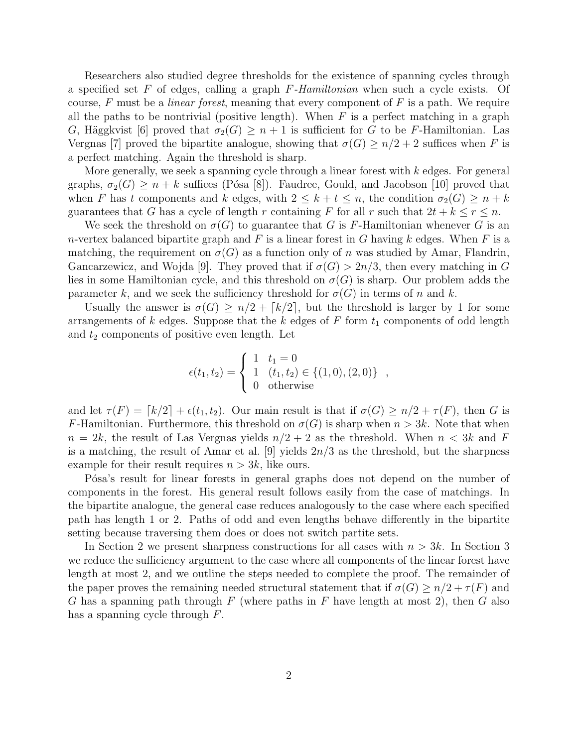Researchers also studied degree thresholds for the existence of spanning cycles through a specified set F of edges, calling a graph  $F$ -Hamiltonian when such a cycle exists. Of course, F must be a *linear forest*, meaning that every component of  $F$  is a path. We require all the paths to be nontrivial (positive length). When  $F$  is a perfect matching in a graph G, Häggkvist [6] proved that  $\sigma_2(G) \geq n+1$  is sufficient for G to be F-Hamiltonian. Las Vergnas [7] proved the bipartite analogue, showing that  $\sigma(G) \geq n/2 + 2$  suffices when F is a perfect matching. Again the threshold is sharp.

More generally, we seek a spanning cycle through a linear forest with  $k$  edges. For general graphs,  $\sigma_2(G) \geq n + k$  suffices (Pósa [8]). Faudree, Gould, and Jacobson [10] proved that when F has t components and k edges, with  $2 \leq k + t \leq n$ , the condition  $\sigma_2(G) \geq n + k$ guarantees that G has a cycle of length r containing F for all r such that  $2t + k \le r \le n$ .

We seek the threshold on  $\sigma(G)$  to guarantee that G is F-Hamiltonian whenever G is an n-vertex balanced bipartite graph and F is a linear forest in G having k edges. When F is a matching, the requirement on  $\sigma(G)$  as a function only of n was studied by Amar, Flandrin, Gancarzewicz, and Wojda [9]. They proved that if  $\sigma(G) > 2n/3$ , then every matching in G lies in some Hamiltonian cycle, and this threshold on  $\sigma(G)$  is sharp. Our problem adds the parameter k, and we seek the sufficiency threshold for  $\sigma(G)$  in terms of n and k.

Usually the answer is  $\sigma(G) \geq n/2 + \lceil k/2 \rceil$ , but the threshold is larger by 1 for some arrangements of k edges. Suppose that the k edges of  $F$  form  $t_1$  components of odd length and  $t_2$  components of positive even length. Let

$$
\epsilon(t_1, t_2) = \begin{cases} 1 & t_1 = 0 \\ 1 & (t_1, t_2) \in \{ (1, 0), (2, 0) \} \\ 0 & \text{otherwise} \end{cases}
$$

,

and let  $\tau(F) = [k/2] + \epsilon(t_1, t_2)$ . Our main result is that if  $\sigma(G) \geq n/2 + \tau(F)$ , then G is F-Hamiltonian. Furthermore, this threshold on  $\sigma(G)$  is sharp when  $n > 3k$ . Note that when  $n = 2k$ , the result of Las Vergnas yields  $n/2 + 2$  as the threshold. When  $n < 3k$  and F is a matching, the result of Amar et al. [9] yields  $2n/3$  as the threshold, but the sharpness example for their result requires  $n > 3k$ , like ours.

P<sup>osa's</sup> result for linear forests in general graphs does not depend on the number of components in the forest. His general result follows easily from the case of matchings. In the bipartite analogue, the general case reduces analogously to the case where each specified path has length 1 or 2. Paths of odd and even lengths behave differently in the bipartite setting because traversing them does or does not switch partite sets.

In Section 2 we present sharpness constructions for all cases with  $n > 3k$ . In Section 3 we reduce the sufficiency argument to the case where all components of the linear forest have length at most 2, and we outline the steps needed to complete the proof. The remainder of the paper proves the remaining needed structural statement that if  $\sigma(G) \geq n/2 + \tau(F)$  and G has a spanning path through  $F$  (where paths in  $F$  have length at most 2), then  $G$  also has a spanning cycle through F.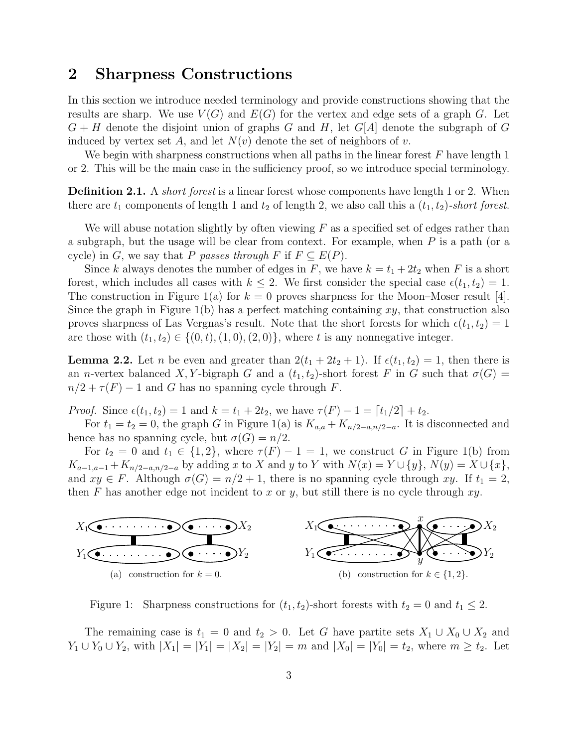# 2 Sharpness Constructions

In this section we introduce needed terminology and provide constructions showing that the results are sharp. We use  $V(G)$  and  $E(G)$  for the vertex and edge sets of a graph G. Let  $G + H$  denote the disjoint union of graphs G and H, let  $G[A]$  denote the subgraph of G induced by vertex set A, and let  $N(v)$  denote the set of neighbors of v.

We begin with sharpness constructions when all paths in the linear forest  $F$  have length 1 or 2. This will be the main case in the sufficiency proof, so we introduce special terminology.

**Definition 2.1.** A *short forest* is a linear forest whose components have length 1 or 2. When there are  $t_1$  components of length 1 and  $t_2$  of length 2, we also call this a  $(t_1, t_2)$ -short forest.

We will abuse notation slightly by often viewing  $F$  as a specified set of edges rather than a subgraph, but the usage will be clear from context. For example, when  $P$  is a path (or a cycle) in G, we say that P passes through F if  $F \subseteq E(P)$ .

Since k always denotes the number of edges in F, we have  $k = t_1 + 2t_2$  when F is a short forest, which includes all cases with  $k \leq 2$ . We first consider the special case  $\epsilon(t_1, t_2) = 1$ . The construction in Figure 1(a) for  $k = 0$  proves sharpness for the Moon–Moser result [4]. Since the graph in Figure 1(b) has a perfect matching containing  $xy$ , that construction also proves sharpness of Las Vergnas's result. Note that the short forests for which  $\epsilon(t_1, t_2) = 1$ are those with  $(t_1, t_2) \in \{(0, t), (1, 0), (2, 0)\}\,$ , where t is any nonnegative integer.

**Lemma 2.2.** Let *n* be even and greater than  $2(t_1 + 2t_2 + 1)$ . If  $\epsilon(t_1, t_2) = 1$ , then there is an n-vertex balanced X, Y-bigraph G and a  $(t_1, t_2)$ -short forest F in G such that  $\sigma(G)$  =  $n/2 + \tau(F) - 1$  and G has no spanning cycle through F.

*Proof.* Since  $\epsilon(t_1, t_2) = 1$  and  $k = t_1 + 2t_2$ , we have  $\tau(F) - 1 = \lceil t_1/2 \rceil + t_2$ .

For  $t_1 = t_2 = 0$ , the graph G in Figure 1(a) is  $K_{a,a} + K_{n/2-a,n/2-a}$ . It is disconnected and hence has no spanning cycle, but  $\sigma(G) = n/2$ .

For  $t_2 = 0$  and  $t_1 \in \{1,2\}$ , where  $\tau(F) - 1 = 1$ , we construct G in Figure 1(b) from  $K_{a-1,a-1} + K_{n/2-a,n/2-a}$  by adding x to X and y to Y with  $N(x) = Y \cup \{y\}, N(y) = X \cup \{x\},$ and  $xy \in F$ . Although  $\sigma(G) = n/2 + 1$ , there is no spanning cycle through xy. If  $t_1 = 2$ , then F has another edge not incident to x or y, but still there is no cycle through  $xy$ .



Figure 1: Sharpness constructions for  $(t_1, t_2)$ -short forests with  $t_2 = 0$  and  $t_1 \leq 2$ .

The remaining case is  $t_1 = 0$  and  $t_2 > 0$ . Let G have partite sets  $X_1 \cup X_0 \cup X_2$  and  $Y_1 \cup Y_0 \cup Y_2$ , with  $|X_1| = |Y_1| = |X_2| = |Y_2| = m$  and  $|X_0| = |Y_0| = t_2$ , where  $m \ge t_2$ . Let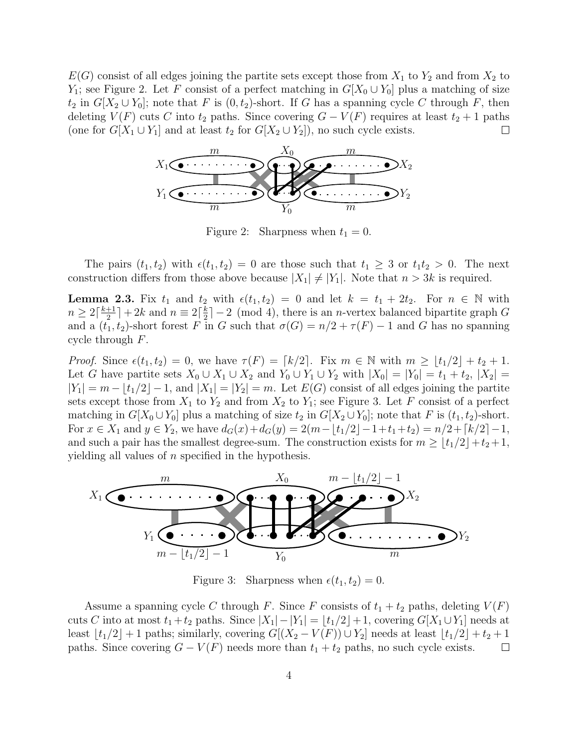$E(G)$  consist of all edges joining the partite sets except those from  $X_1$  to  $Y_2$  and from  $X_2$  to Y<sub>1</sub>; see Figure 2. Let F consist of a perfect matching in  $G[X_0 \cup Y_0]$  plus a matching of size  $t_2$  in  $G[X_2 \cup Y_0]$ ; note that F is  $(0, t_2)$ -short. If G has a spanning cycle C through F, then deleting  $V(F)$  cuts C into  $t_2$  paths. Since covering  $G - V(F)$  requires at least  $t_2 + 1$  paths (one for  $G[X_1 \cup Y_1]$  and at least  $t_2$  for  $G[X_2 \cup Y_2]$ ), no such cycle exists.  $\sqcup$ 



Figure 2: Sharpness when  $t_1 = 0$ .

The pairs  $(t_1, t_2)$  with  $\epsilon(t_1, t_2) = 0$  are those such that  $t_1 \geq 3$  or  $t_1 t_2 > 0$ . The next construction differs from those above because  $|X_1| \neq |Y_1|$ . Note that  $n > 3k$  is required.

**Lemma 2.3.** Fix  $t_1$  and  $t_2$  with  $\epsilon(t_1, t_2) = 0$  and let  $k = t_1 + 2t_2$ . For  $n \in \mathbb{N}$  with  $n \geq 2\lceil \frac{k+1}{2} \rceil$  $\frac{+1}{2}$ ] + 2k and  $n \equiv 2\lceil \frac{k}{2}$  $\frac{k}{2}$  | - 2 (mod 4), there is an *n*-vertex balanced bipartite graph G and a  $(t_1, t_2)$ -short forest F in G such that  $\sigma(G) = n/2 + \tau(F) - 1$  and G has no spanning cycle through F.

*Proof.* Since  $\epsilon(t_1, t_2) = 0$ , we have  $\tau(F) = \lceil k/2 \rceil$ . Fix  $m \in \mathbb{N}$  with  $m \geq |t_1/2| + t_2 + 1$ . Let G have partite sets  $X_0 \cup X_1 \cup X_2$  and  $Y_0 \cup Y_1 \cup Y_2$  with  $|X_0| = |Y_0| = t_1 + t_2$ ,  $|X_2| =$  $|Y_1| = m - \lfloor t_1/2 \rfloor - 1$ , and  $|X_1| = |Y_2| = m$ . Let  $E(G)$  consist of all edges joining the partite sets except those from  $X_1$  to  $Y_2$  and from  $X_2$  to  $Y_1$ ; see Figure 3. Let F consist of a perfect matching in  $G[X_0 \cup Y_0]$  plus a matching of size  $t_2$  in  $G[X_2 \cup Y_0]$ ; note that F is  $(t_1, t_2)$ -short. For  $x \in X_1$  and  $y \in Y_2$ , we have  $d_G(x) + d_G(y) = 2(m - \lfloor t_1/2 \rfloor - 1 + t_1 + t_2) = n/2 + \lceil k/2 \rceil - 1$ , and such a pair has the smallest degree-sum. The construction exists for  $m \geq \lfloor t_1/2 \rfloor + t_2 + 1$ , yielding all values of  $n$  specified in the hypothesis.



Figure 3: Sharpness when  $\epsilon(t_1, t_2) = 0$ .

Assume a spanning cycle C through F. Since F consists of  $t_1 + t_2$  paths, deleting  $V(F)$ cuts C into at most  $t_1 + t_2$  paths. Since  $|X_1| - |Y_1| = \lfloor t_1/2 \rfloor + 1$ , covering  $G[X_1 \cup Y_1]$  needs at least  $|t_1/2|+1$  paths; similarly, covering  $G[(X_2 - V(F)) \cup Y_2]$  needs at least  $|t_1/2|+t_2+1$ paths. Since covering  $G - V(F)$  needs more than  $t_1 + t_2$  paths, no such cycle exists.  $\Box$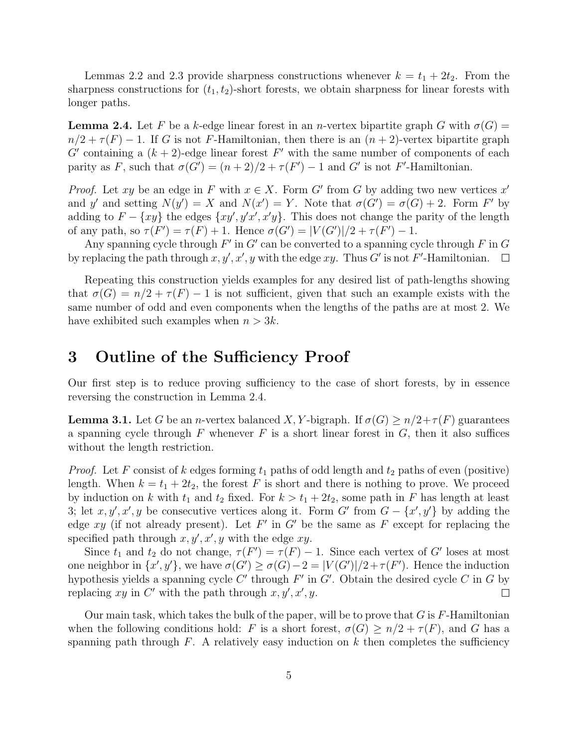Lemmas 2.2 and 2.3 provide sharpness constructions whenever  $k = t_1 + 2t_2$ . From the sharpness constructions for  $(t_1, t_2)$ -short forests, we obtain sharpness for linear forests with longer paths.

**Lemma 2.4.** Let F be a k-edge linear forest in an n-vertex bipartite graph G with  $\sigma(G)$  =  $n/2 + \tau(F) - 1$ . If G is not F-Hamiltonian, then there is an  $(n + 2)$ -vertex bipartite graph G' containing a  $(k+2)$ -edge linear forest F' with the same number of components of each parity as F, such that  $\sigma(G') = (n+2)/2 + \tau(F') - 1$  and G' is not F'-Hamiltonian.

*Proof.* Let xy be an edge in F with  $x \in X$ . Form G' from G by adding two new vertices x' and y' and setting  $N(y') = X$  and  $N(x') = Y$ . Note that  $\sigma(G') = \sigma(G) + 2$ . Form F' by adding to  $F - \{xy\}$  the edges  $\{xy', y'x', x'y\}$ . This does not change the parity of the length of any path, so  $\tau(F') = \tau(F) + 1$ . Hence  $\sigma(G') = |V(G')|/2 + \tau(F') - 1$ .

Any spanning cycle through  $F'$  in  $G'$  can be converted to a spanning cycle through  $F$  in  $G$ by replacing the path through  $x, y', x', y$  with the edge  $xy$ . Thus G' is not F'-Hamiltonian.  $\Box$ 

Repeating this construction yields examples for any desired list of path-lengths showing that  $\sigma(G) = n/2 + \tau(F) - 1$  is not sufficient, given that such an example exists with the same number of odd and even components when the lengths of the paths are at most 2. We have exhibited such examples when  $n > 3k$ .

# 3 Outline of the Sufficiency Proof

Our first step is to reduce proving sufficiency to the case of short forests, by in essence reversing the construction in Lemma 2.4.

**Lemma 3.1.** Let G be an *n*-vertex balanced X, Y-bigraph. If  $\sigma(G) \geq n/2 + \tau(F)$  guarantees a spanning cycle through F whenever F is a short linear forest in  $G$ , then it also suffices without the length restriction.

*Proof.* Let F consist of k edges forming  $t_1$  paths of odd length and  $t_2$  paths of even (positive) length. When  $k = t_1 + 2t_2$ , the forest F is short and there is nothing to prove. We proceed by induction on k with  $t_1$  and  $t_2$  fixed. For  $k > t_1 + 2t_2$ , some path in F has length at least 3; let  $x, y', x', y$  be consecutive vertices along it. Form  $G'$  from  $G - \{x', y'\}$  by adding the edge  $xy$  (if not already present). Let F' in G' be the same as F except for replacing the specified path through  $x, y', x', y$  with the edge  $xy$ .

Since  $t_1$  and  $t_2$  do not change,  $\tau(F') = \tau(F) - 1$ . Since each vertex of G' loses at most one neighbor in  $\{x', y'\}$ , we have  $\sigma(G') \ge \sigma(G) - 2 = |V(G')|/2 + \tau(F')$ . Hence the induction hypothesis yields a spanning cycle  $C'$  through  $F'$  in  $G'$ . Obtain the desired cycle  $C$  in  $G$  by replacing xy in C' with the path through  $x, y', x', y$ .  $\Box$ 

Our main task, which takes the bulk of the paper, will be to prove that  $G$  is  $F$ -Hamiltonian when the following conditions hold: F is a short forest,  $\sigma(G) \geq n/2 + \tau(F)$ , and G has a spanning path through  $F$ . A relatively easy induction on k then completes the sufficiency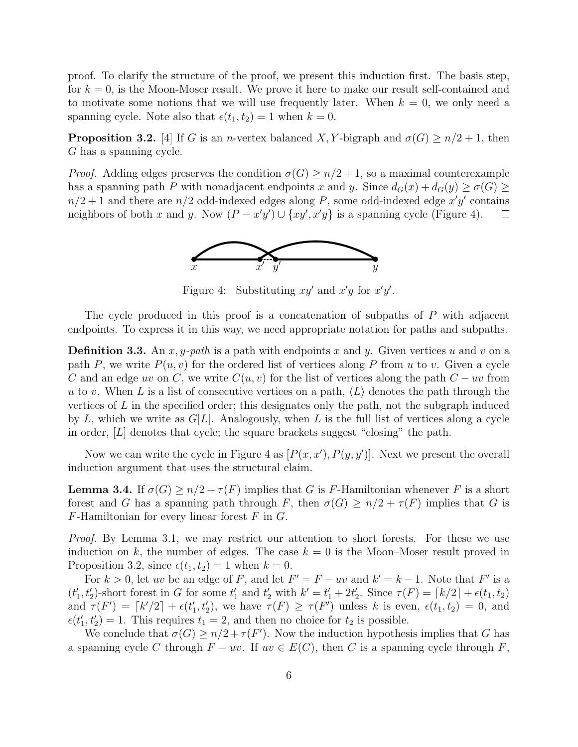proof. To clarify the structure of the proof, we present this induction first. The basis step, for  $k = 0$ , is the Moon-Moser result. We prove it here to make our result self-contained and to motivate some notions that we will use frequently later. When  $k = 0$ , we only need a spanning cycle. Note also that  $\epsilon(t_1, t_2) = 1$  when  $k = 0$ .

**Proposition 3.2.** [4] If G is an *n*-vertex balanced X, Y-bigraph and  $\sigma(G) \ge n/2 + 1$ , then G has a spanning cycle.

*Proof.* Adding edges preserves the condition  $\sigma(G) \geq n/2 + 1$ , so a maximal counterexample has a spanning path P with nonadjacent endpoints x and y. Since  $d_G(x) + d_G(y) \ge \sigma(G)$  $n/2+1$  and there are  $n/2$  odd-indexed edges along P, some odd-indexed edge  $x'y'$  contains neighbors of both x and y. Now  $(P - x'y') \cup \{xy', x'y\}$  is a spanning cycle (Figure 4).  $\Box$ 



Figure 4: Substituting  $xy'$  and  $x'y$  for  $x'y'$ .

The cycle produced in this proof is a concatenation of subpaths of P with adjacent endpoints. To express it in this way, we need appropriate notation for paths and subpaths.

**Definition 3.3.** An x, y-path is a path with endpoints x and y. Given vertices u and v on a path P, we write  $P(u, v)$  for the ordered list of vertices along P from u to v. Given a cycle C and an edge uv on C, we write  $C(u, v)$  for the list of vertices along the path  $C - uv$  from u to v. When L is a list of consecutive vertices on a path,  $\langle L \rangle$  denotes the path through the vertices of  $L$  in the specified order; this designates only the path, not the subgraph induced by L, which we write as  $G[L]$ . Analogously, when L is the full list of vertices along a cycle in order,  $[L]$  denotes that cycle; the square brackets suggest "closing" the path.

Now we can write the cycle in Figure 4 as  $[P(x, x'), P(y, y')]$ . Next we present the overall induction argument that uses the structural claim.

**Lemma 3.4.** If  $\sigma(G) \geq n/2 + \tau(F)$  implies that G is F-Hamiltonian whenever F is a short forest and G has a spanning path through F, then  $\sigma(G) \geq n/2 + \tau(F)$  implies that G is  $F$ -Hamiltonian for every linear forest  $F$  in  $G$ .

Proof. By Lemma 3.1, we may restrict our attention to short forests. For these we use induction on k, the number of edges. The case  $k = 0$  is the Moon–Moser result proved in Proposition 3.2, since  $\epsilon(t_1, t_2) = 1$  when  $k = 0$ .

For  $k > 0$ , let uv be an edge of F, and let  $F' = F - uv$  and  $k' = k - 1$ . Note that F' is a  $(t'_1, t'_2)$ -short forest in G for some  $t'_1$  and  $t'_2$  with  $k' = t'_1 + 2t'_2$ . Since  $\tau(F) = \lceil k/2 \rceil + \epsilon(t_1, t_2)$ and  $\tau(F') = [k'/2] + \epsilon(t'_1, t'_2)$ , we have  $\tau(F) \geq \tau(F')$  unless k is even,  $\epsilon(t_1, t_2) = 0$ , and  $\epsilon(t'_1, t'_2) = 1$ . This requires  $t_1 = 2$ , and then no choice for  $t_2$  is possible.

We conclude that  $\sigma(G) \geq n/2 + \tau(F')$ . Now the induction hypothesis implies that G has a spanning cycle C through  $F - uv$ . If  $uv \in E(C)$ , then C is a spanning cycle through F,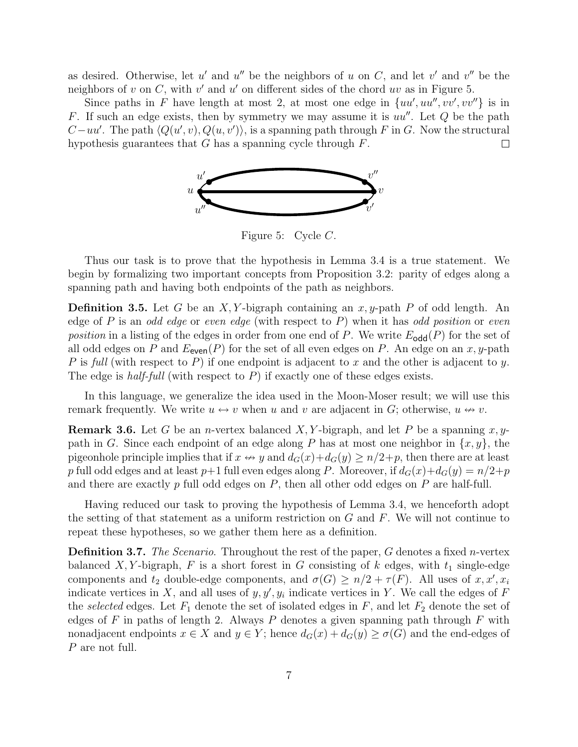as desired. Otherwise, let u' and u'' be the neighbors of u on C, and let v' and v'' be the neighbors of  $v$  on  $C$ , with  $v'$  and  $u'$  on different sides of the chord  $uv$  as in Figure 5.

Since paths in F have length at most 2, at most one edge in  $\{uu', uu'', vv', vv''\}$  is in F. If such an edge exists, then by symmetry we may assume it is  $uu''$ . Let  $Q$  be the path  $C - uu'$ . The path  $\langle Q(u', v), Q(u, v') \rangle$ , is a spanning path through F in G. Now the structural hypothesis guarantees that  $G$  has a spanning cycle through  $F$ .  $\Box$ 



Figure 5: Cycle C.

Thus our task is to prove that the hypothesis in Lemma 3.4 is a true statement. We begin by formalizing two important concepts from Proposition 3.2: parity of edges along a spanning path and having both endpoints of the path as neighbors.

**Definition 3.5.** Let G be an X, Y-bigraph containing an  $x, y$ -path P of odd length. An edge of P is an odd edge or even edge (with respect to P) when it has odd position or even position in a listing of the edges in order from one end of P. We write  $E_{\text{odd}}(P)$  for the set of all odd edges on P and  $E_{\text{even}}(P)$  for the set of all even edges on P. An edge on an x, y-path P is full (with respect to P) if one endpoint is adjacent to x and the other is adjacent to y. The edge is half-full (with respect to  $P$ ) if exactly one of these edges exists.

In this language, we generalize the idea used in the Moon-Moser result; we will use this remark frequently. We write  $u \leftrightarrow v$  when u and v are adjacent in G; otherwise,  $u \leftrightarrow v$ .

**Remark 3.6.** Let G be an *n*-vertex balanced X, Y-bigraph, and let P be a spanning x, ypath in G. Since each endpoint of an edge along P has at most one neighbor in  $\{x, y\}$ , the pigeonhole principle implies that if  $x \leftrightarrow y$  and  $d_G(x)+d_G(y) \ge n/2+p$ , then there are at least p full odd edges and at least  $p+1$  full even edges along P. Moreover, if  $d_G(x)+d_G(y)=n/2+p$ and there are exactly  $p$  full odd edges on  $P$ , then all other odd edges on  $P$  are half-full.

Having reduced our task to proving the hypothesis of Lemma 3.4, we henceforth adopt the setting of that statement as a uniform restriction on  $G$  and  $F$ . We will not continue to repeat these hypotheses, so we gather them here as a definition.

Definition 3.7. The Scenario. Throughout the rest of the paper, G denotes a fixed n-vertex balanced X, Y-bigraph, F is a short forest in G consisting of k edges, with  $t_1$  single-edge components and  $t_2$  double-edge components, and  $\sigma(G) \geq n/2 + \tau(F)$ . All uses of  $x, x', x_i$ indicate vertices in X, and all uses of  $y, y', y_i$  indicate vertices in Y. We call the edges of F the selected edges. Let  $F_1$  denote the set of isolated edges in F, and let  $F_2$  denote the set of edges of F in paths of length 2. Always P denotes a given spanning path through F with nonadjacent endpoints  $x \in X$  and  $y \in Y$ ; hence  $d_G(x) + d_G(y) \ge \sigma(G)$  and the end-edges of P are not full.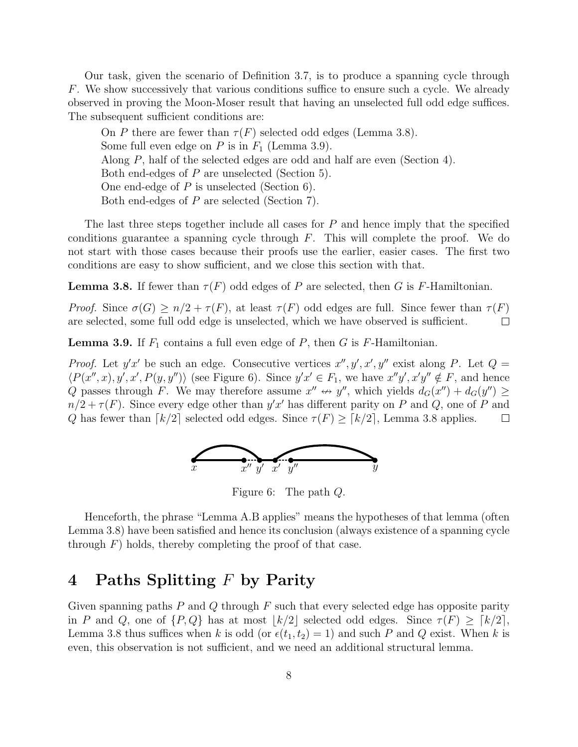Our task, given the scenario of Definition 3.7, is to produce a spanning cycle through F. We show successively that various conditions suffice to ensure such a cycle. We already observed in proving the Moon-Moser result that having an unselected full odd edge suffices. The subsequent sufficient conditions are:

On P there are fewer than  $\tau(F)$  selected odd edges (Lemma 3.8). Some full even edge on  $P$  is in  $F_1$  (Lemma 3.9). Along P, half of the selected edges are odd and half are even (Section 4). Both end-edges of P are unselected (Section 5). One end-edge of P is unselected (Section 6). Both end-edges of P are selected (Section 7).

The last three steps together include all cases for  $P$  and hence imply that the specified conditions guarantee a spanning cycle through  $F$ . This will complete the proof. We do not start with those cases because their proofs use the earlier, easier cases. The first two conditions are easy to show sufficient, and we close this section with that.

**Lemma 3.8.** If fewer than  $\tau(F)$  odd edges of P are selected, then G is F-Hamiltonian.

Proof. Since  $\sigma(G) \geq n/2 + \tau(F)$ , at least  $\tau(F)$  odd edges are full. Since fewer than  $\tau(F)$ are selected, some full odd edge is unselected, which we have observed is sufficient.  $\Box$ 

**Lemma 3.9.** If  $F_1$  contains a full even edge of P, then G is F-Hamiltonian.

*Proof.* Let  $y'x'$  be such an edge. Consecutive vertices  $x'', y', x', y''$  exist along P. Let  $Q =$  $\langle P(x'',x), y', x', P(y, y'') \rangle$  (see Figure 6). Since  $y'x' \in F_1$ , we have  $x''y', x'y'' \notin F$ , and hence Q passes through F. We may therefore assume  $x'' \leftrightarrow y''$ , which yields  $d_G(x'') + d_G(y'') \ge$  $n/2 + \tau(F)$ . Since every edge other than  $y'x'$  has different parity on P and Q, one of P and Q has fewer than  $\lceil k/2 \rceil$  selected odd edges. Since  $\tau(F) \geq \lceil k/2 \rceil$ , Lemma 3.8 applies.  $\Box$ 



Figure 6: The path Q.

Henceforth, the phrase "Lemma A.B applies" means the hypotheses of that lemma (often Lemma 3.8) have been satisfied and hence its conclusion (always existence of a spanning cycle through  $F$ ) holds, thereby completing the proof of that case.

# 4 Paths Splitting F by Parity

Given spanning paths  $P$  and  $Q$  through  $F$  such that every selected edge has opposite parity in P and Q, one of  $\{P, Q\}$  has at most  $|k/2|$  selected odd edges. Since  $\tau(F) \geq \lceil k/2 \rceil$ , Lemma 3.8 thus suffices when k is odd (or  $\epsilon(t_1, t_2) = 1$ ) and such P and Q exist. When k is even, this observation is not sufficient, and we need an additional structural lemma.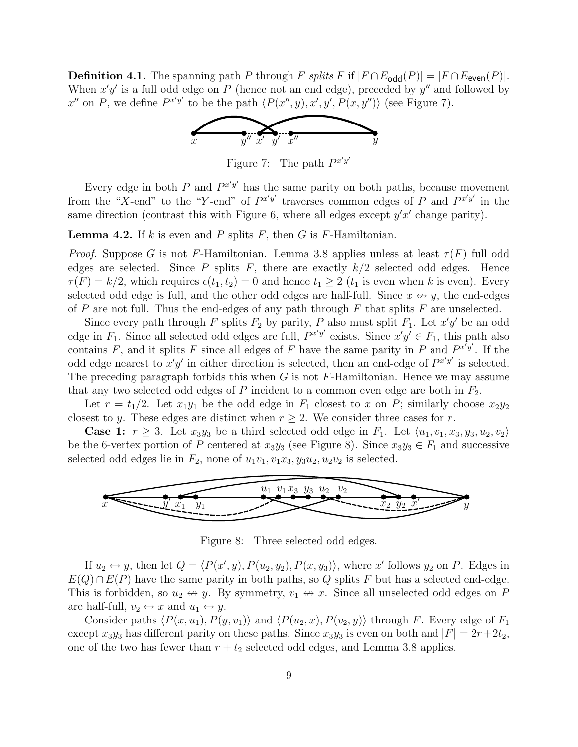**Definition 4.1.** The spanning path P through F splits F if  $|F \cap E_{\text{odd}}(P)| = |F \cap E_{\text{even}}(P)|$ . When  $x'y'$  is a full odd edge on P (hence not an end edge), preceded by  $y''$  and followed by  $x''$  on P, we define  $P^{x'y'}$  to be the path  $\langle P(x'', y), x', y', P(x, y'')\rangle$  (see Figure 7).



Figure 7: The path  $P^{x'y'}$ 

Every edge in both P and  $P^{x'y'}$  has the same parity on both paths, because movement from the "X-end" to the "Y-end" of  $P^{x'y'}$  traverses common edges of P and  $P^{x'y'}$  in the same direction (contrast this with Figure 6, where all edges except  $y'x'$  change parity).

**Lemma 4.2.** If k is even and P splits F, then G is F-Hamiltonian.

*Proof.* Suppose G is not F-Hamiltonian. Lemma 3.8 applies unless at least  $\tau(F)$  full odd edges are selected. Since P splits F, there are exactly  $k/2$  selected odd edges. Hence  $\tau(F) = k/2$ , which requires  $\epsilon(t_1, t_2) = 0$  and hence  $t_1 \geq 2$  ( $t_1$  is even when k is even). Every selected odd edge is full, and the other odd edges are half-full. Since  $x \leftrightarrow y$ , the end-edges of P are not full. Thus the end-edges of any path through F that splits  $F$  are unselected.

Since every path through F splits  $F_2$  by parity, P also must split  $F_1$ . Let  $x'y'$  be an odd edge in  $F_1$ . Since all selected odd edges are full,  $P^{x'y'}$  exists. Since  $x'y' \in F_1$ , this path also contains F, and it splits F since all edges of F have the same parity in P and  $P^{x'y'}$ . If the odd edge nearest to  $x'y'$  in either direction is selected, then an end-edge of  $P^{x'y'}$  is selected. The preceding paragraph forbids this when  $G$  is not  $F$ -Hamiltonian. Hence we may assume that any two selected odd edges of  $P$  incident to a common even edge are both in  $F_2$ .

Let  $r = t_1/2$ . Let  $x_1y_1$  be the odd edge in  $F_1$  closest to x on P; similarly choose  $x_2y_2$ closest to y. These edges are distinct when  $r \geq 2$ . We consider three cases for r.

**Case 1:**  $r \geq 3$ . Let  $x_3y_3$  be a third selected odd edge in  $F_1$ . Let  $\langle u_1, v_1, x_3, y_3, u_2, v_2 \rangle$ be the 6-vertex portion of P centered at  $x_3y_3$  (see Figure 8). Since  $x_3y_3 \in F_1$  and successive selected odd edges lie in  $F_2$ , none of  $u_1v_1, v_1x_3, y_3u_2, u_2v_2$  is selected.



Figure 8: Three selected odd edges.

If  $u_2 \leftrightarrow y$ , then let  $Q = \langle P(x', y), P(u_2, y_2), P(x, y_3) \rangle$ , where x' follows  $y_2$  on P. Edges in  $E(Q) \cap E(P)$  have the same parity in both paths, so Q splits F but has a selected end-edge. This is forbidden, so  $u_2 \leftrightarrow y$ . By symmetry,  $v_1 \leftrightarrow x$ . Since all unselected odd edges on P are half-full,  $v_2 \leftrightarrow x$  and  $u_1 \leftrightarrow y$ .

Consider paths  $\langle P(x, u_1), P(y, v_1) \rangle$  and  $\langle P(u_2, x), P(v_2, y) \rangle$  through F. Every edge of  $F_1$ except  $x_3y_3$  has different parity on these paths. Since  $x_3y_3$  is even on both and  $|F| = 2r+2t_2$ , one of the two has fewer than  $r + t_2$  selected odd edges, and Lemma 3.8 applies.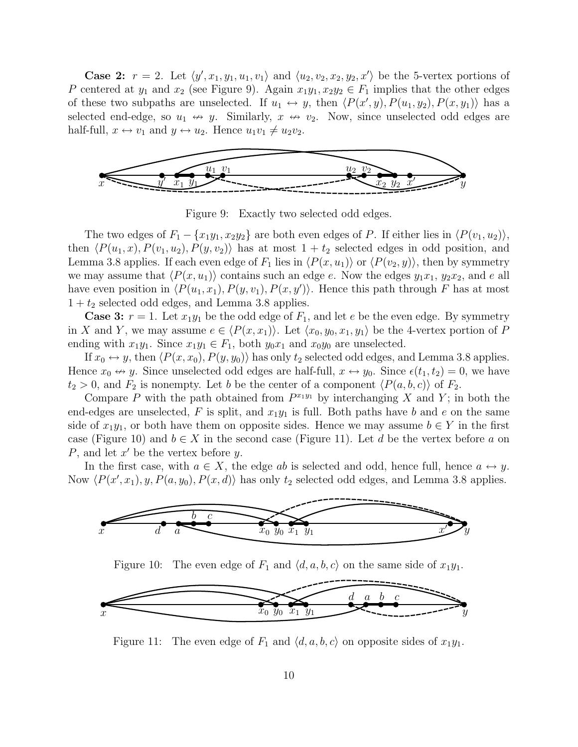**Case 2:**  $r = 2$ . Let  $\langle y', x_1, y_1, u_1, v_1 \rangle$  and  $\langle u_2, v_2, x_2, y_2, x' \rangle$  be the 5-vertex portions of P centered at  $y_1$  and  $x_2$  (see Figure 9). Again  $x_1y_1, x_2y_2 \in F_1$  implies that the other edges of these two subpaths are unselected. If  $u_1 \leftrightarrow y$ , then  $\langle P(x', y), P(u_1, y_2), P(x, y_1) \rangle$  has a selected end-edge, so  $u_1 \leftrightarrow y$ . Similarly,  $x \leftrightarrow v_2$ . Now, since unselected odd edges are half-full,  $x \leftrightarrow v_1$  and  $y \leftrightarrow u_2$ . Hence  $u_1v_1 \neq u_2v_2$ .



Figure 9: Exactly two selected odd edges.

The two edges of  $F_1 - \{x_1y_1, x_2y_2\}$  are both even edges of P. If either lies in  $\langle P(v_1, u_2) \rangle$ , then  $\langle P(u_1, x), P(v_1, u_2), P(y, v_2) \rangle$  has at most  $1 + t_2$  selected edges in odd position, and Lemma 3.8 applies. If each even edge of  $F_1$  lies in  $\langle P(x, u_1) \rangle$  or  $\langle P(v_2, y) \rangle$ , then by symmetry we may assume that  $\langle P(x, u_1) \rangle$  contains such an edge e. Now the edges  $y_1x_1, y_2x_2$ , and e all have even position in  $\langle P(u_1, x_1), P(y, v_1), P(x, y')\rangle$ . Hence this path through F has at most  $1 + t_2$  selected odd edges, and Lemma 3.8 applies.

**Case 3:**  $r = 1$ . Let  $x_1y_1$  be the odd edge of  $F_1$ , and let e be the even edge. By symmetry in X and Y, we may assume  $e \in \langle P(x, x_1) \rangle$ . Let  $\langle x_0, y_0, x_1, y_1 \rangle$  be the 4-vertex portion of P ending with  $x_1y_1$ . Since  $x_1y_1 \in F_1$ , both  $y_0x_1$  and  $x_0y_0$  are unselected.

If  $x_0 \leftrightarrow y$ , then  $\langle P(x, x_0), P(y, y_0) \rangle$  has only  $t_2$  selected odd edges, and Lemma 3.8 applies. Hence  $x_0 \leftrightarrow y$ . Since unselected odd edges are half-full,  $x \leftrightarrow y_0$ . Since  $\epsilon(t_1, t_2) = 0$ , we have  $t_2 > 0$ , and  $F_2$  is nonempty. Let b be the center of a component  $\langle P(a, b, c) \rangle$  of  $F_2$ .

Compare P with the path obtained from  $P^{x_1y_1}$  by interchanging X and Y; in both the end-edges are unselected, F is split, and  $x_1y_1$  is full. Both paths have b and e on the same side of  $x_1y_1$ , or both have them on opposite sides. Hence we may assume  $b \in Y$  in the first case (Figure 10) and  $b \in X$  in the second case (Figure 11). Let d be the vertex before a on  $P$ , and let  $x'$  be the vertex before  $y$ .

In the first case, with  $a \in X$ , the edge ab is selected and odd, hence full, hence  $a \leftrightarrow y$ . Now  $\langle P(x', x_1), y, P(a, y_0), P(x, d) \rangle$  has only  $t_2$  selected odd edges, and Lemma 3.8 applies.



Figure 11: The even edge of  $F_1$  and  $\langle d, a, b, c \rangle$  on opposite sides of  $x_1y_1$ .

 $\bar{y}$ 

 $x_0 \ y_0 \ x_1 \ y_1$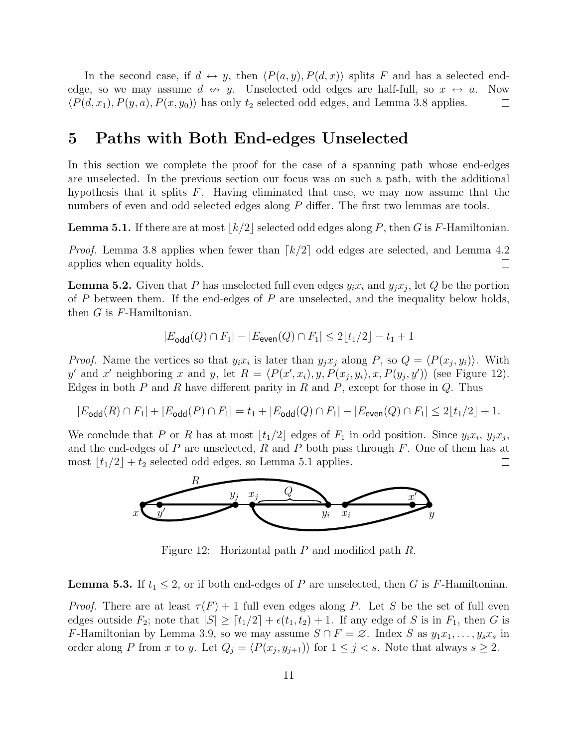In the second case, if  $d \leftrightarrow y$ , then  $\langle P(a, y), P(d, x) \rangle$  splits F and has a selected endedge, so we may assume  $d \leftrightarrow y$ . Unselected odd edges are half-full, so  $x \leftrightarrow a$ . Now  $\langle P(d, x_1), P(y, a), P(x, y_0) \rangle$  has only  $t_2$  selected odd edges, and Lemma 3.8 applies.  $\Box$ 

# 5 Paths with Both End-edges Unselected

In this section we complete the proof for the case of a spanning path whose end-edges are unselected. In the previous section our focus was on such a path, with the additional hypothesis that it splits F. Having eliminated that case, we may now assume that the numbers of even and odd selected edges along P differ. The first two lemmas are tools.

**Lemma 5.1.** If there are at most  $\lfloor k/2 \rfloor$  selected odd edges along P, then G is F-Hamiltonian.

*Proof.* Lemma 3.8 applies when fewer than  $\lceil k/2 \rceil$  odd edges are selected, and Lemma 4.2 applies when equality holds.  $\Box$ 

**Lemma 5.2.** Given that P has unselected full even edges  $y_i x_i$  and  $y_j x_j$ , let Q be the portion of  $P$  between them. If the end-edges of  $P$  are unselected, and the inequality below holds, then  $G$  is  $F$ -Hamiltonian.

$$
|E_{\text{odd}}(Q) \cap F_1| - |E_{\text{even}}(Q) \cap F_1| \le 2\lfloor t_1/2 \rfloor - t_1 + 1
$$

*Proof.* Name the vertices so that  $y_i x_i$  is later than  $y_j x_j$  along P, so  $Q = \langle P(x_j, y_i) \rangle$ . With y' and x' neighboring x and y, let  $R = \langle P(x', x_i), y, P(x_j, y_i), x, P(y_j, y') \rangle$  (see Figure 12). Edges in both  $P$  and  $R$  have different parity in  $R$  and  $P$ , except for those in  $Q$ . Thus

$$
|E_{\text{odd}}(R) \cap F_1| + |E_{\text{odd}}(P) \cap F_1| = t_1 + |E_{\text{odd}}(Q) \cap F_1| - |E_{\text{even}}(Q) \cap F_1| \le 2\lfloor t_1/2 \rfloor + 1.
$$

We conclude that P or R has at most  $\lfloor t_1/2 \rfloor$  edges of  $F_1$  in odd position. Since  $y_i x_i, y_j x_j$ , and the end-edges of  $P$  are unselected,  $R$  and  $P$  both pass through  $F$ . One of them has at most  $|t_1/2| + t_2$  selected odd edges, so Lemma 5.1 applies.  $\Box$ 



Figure 12: Horizontal path P and modified path R.

**Lemma 5.3.** If  $t_1 \leq 2$ , or if both end-edges of P are unselected, then G is F-Hamiltonian.

*Proof.* There are at least  $\tau(F) + 1$  full even edges along P. Let S be the set of full even edges outside  $F_2$ ; note that  $|S| \geq [t_1/2] + \epsilon(t_1, t_2) + 1$ . If any edge of S is in  $F_1$ , then G is F-Hamiltonian by Lemma 3.9, so we may assume  $S \cap F = \emptyset$ . Index S as  $y_1x_1, \ldots, y_sx_s$  in order along P from x to y. Let  $Q_j = \langle P(x_j, y_{j+1}) \rangle$  for  $1 \le j < s$ . Note that always  $s \ge 2$ .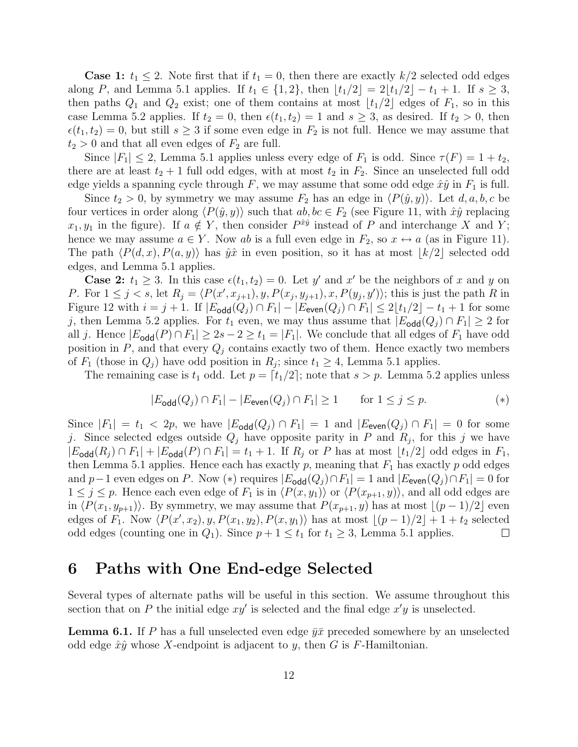**Case 1:**  $t_1 \leq 2$ . Note first that if  $t_1 = 0$ , then there are exactly  $k/2$  selected odd edges along P, and Lemma 5.1 applies. If  $t_1 \in \{1, 2\}$ , then  $\lfloor t_1/2 \rfloor = 2\lfloor t_1/2 \rfloor - t_1 + 1$ . If  $s \geq 3$ , then paths  $Q_1$  and  $Q_2$  exist; one of them contains at most  $\lfloor t_1/2 \rfloor$  edges of  $F_1$ , so in this case Lemma 5.2 applies. If  $t_2 = 0$ , then  $\epsilon(t_1, t_2) = 1$  and  $s \geq 3$ , as desired. If  $t_2 > 0$ , then  $\epsilon(t_1, t_2) = 0$ , but still  $s \geq 3$  if some even edge in  $F_2$  is not full. Hence we may assume that  $t_2 > 0$  and that all even edges of  $F_2$  are full.

Since  $|F_1| \leq 2$ , Lemma 5.1 applies unless every edge of  $F_1$  is odd. Since  $\tau(F) = 1 + t_2$ , there are at least  $t_2 + 1$  full odd edges, with at most  $t_2$  in  $F_2$ . Since an unselected full odd edge yields a spanning cycle through F, we may assume that some odd edge  $\hat{x}\hat{y}$  in  $F_1$  is full.

Since  $t_2 > 0$ , by symmetry we may assume  $F_2$  has an edge in  $\langle P(\hat{y}, y) \rangle$ . Let  $d, a, b, c$  be four vertices in order along  $\langle P(\hat{y}, y) \rangle$  such that  $ab, bc \in F_2$  (see Figure 11, with  $\hat{x}\hat{y}$  replacing  $x_1, y_1$  in the figure). If  $a \notin Y$ , then consider  $P^{\hat{x}\hat{y}}$  instead of P and interchange X and Y; hence we may assume  $a \in Y$ . Now ab is a full even edge in  $F_2$ , so  $x \leftrightarrow a$  (as in Figure 11). The path  $\langle P(d, x), P(a, y)\rangle$  has  $\hat{y}\hat{x}$  in even position, so it has at most  $|k/2|$  selected odd edges, and Lemma 5.1 applies.

**Case 2:**  $t_1 \geq 3$ . In this case  $\epsilon(t_1, t_2) = 0$ . Let y' and x' be the neighbors of x and y on P. For  $1 \leq j \leq s$ , let  $R_j = \langle P(x', x_{j+1}), y, P(x_j, y_{j+1}), x, P(y_j, y') \rangle$ ; this is just the path R in Figure 12 with  $i = j + 1$ . If  $|E_{\text{odd}}(Q_j) \cap F_1| - |E_{\text{even}}(Q_j) \cap F_1| \leq 2\lfloor t_1/2 \rfloor - t_1 + 1$  for some j, then Lemma 5.2 applies. For  $t_1$  even, we may thus assume that  $|E_{\text{odd}}(Q_i) \cap F_1| \geq 2$  for all j. Hence  $|E_{\text{odd}}(P) \cap F_1| \geq 2s - 2 \geq t_1 = |F_1|$ . We conclude that all edges of  $F_1$  have odd position in  $P$ , and that every  $Q_j$  contains exactly two of them. Hence exactly two members of  $F_1$  (those in  $Q_j$ ) have odd position in  $R_j$ ; since  $t_1 \geq 4$ , Lemma 5.1 applies.

The remaining case is  $t_1$  odd. Let  $p = \lceil t_1/2 \rceil$ ; note that  $s > p$ . Lemma 5.2 applies unless

$$
|E_{\text{odd}}(Q_j) \cap F_1| - |E_{\text{even}}(Q_j) \cap F_1| \ge 1 \qquad \text{for } 1 \le j \le p. \tag{*}
$$

Since  $|F_1| = t_1 < 2p$ , we have  $|E_{\text{odd}}(Q_i) \cap F_1| = 1$  and  $|E_{\text{even}}(Q_i) \cap F_1| = 0$  for some j. Since selected edges outside  $Q_j$  have opposite parity in P and  $R_j$ , for this j we have  $|E_{\text{odd}}(R_j) \cap F_1| + |E_{\text{odd}}(P) \cap F_1| = t_1 + 1$ . If  $R_j$  or P has at most  $\lfloor t_1/2 \rfloor$  odd edges in  $F_1$ , then Lemma 5.1 applies. Hence each has exactly p, meaning that  $F_1$  has exactly p odd edges and p−1 even edges on P. Now (\*) requires  $|E_{\text{odd}}(Q_i) \cap F_1| = 1$  and  $|E_{\text{even}}(Q_i) \cap F_1| = 0$  for  $1 \leq j \leq p$ . Hence each even edge of  $F_1$  is in  $\langle P(x, y_1) \rangle$  or  $\langle P(x_{p+1}, y) \rangle$ , and all odd edges are in  $\langle P(x_1, y_{p+1})\rangle$ . By symmetry, we may assume that  $P(x_{p+1}, y)$  has at most  $\lfloor (p-1)/2 \rfloor$  even edges of  $F_1$ . Now  $\langle P(x', x_2), y, P(x_1, y_2), P(x, y_1) \rangle$  has at most  $\lfloor (p-1)/2 \rfloor + 1 + t_2$  selected odd edges (counting one in  $Q_1$ ). Since  $p + 1 \le t_1$  for  $t_1 \ge 3$ , Lemma 5.1 applies.  $\Box$ 

## 6 Paths with One End-edge Selected

Several types of alternate paths will be useful in this section. We assume throughout this section that on P the initial edge  $xy'$  is selected and the final edge  $x'y$  is unselected.

**Lemma 6.1.** If P has a full unselected even edge  $\bar{y}\bar{x}$  preceded somewhere by an unselected odd edge  $\hat{x}\hat{y}$  whose X-endpoint is adjacent to y, then G is F-Hamiltonian.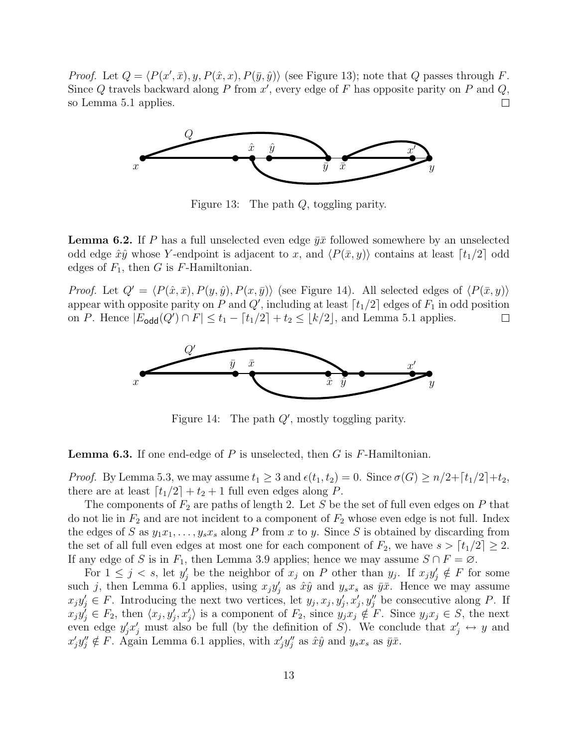*Proof.* Let  $Q = \langle P(x', \bar{x}), y, P(\hat{x}, x), P(\bar{y}, \hat{y}) \rangle$  (see Figure 13); note that Q passes through F. Since  $Q$  travels backward along  $P$  from  $x'$ , every edge of  $F$  has opposite parity on  $P$  and  $Q$ , so Lemma 5.1 applies.  $\Box$ 



Figure 13: The path Q, toggling parity.

**Lemma 6.2.** If P has a full unselected even edge  $\bar{y}x$  followed somewhere by an unselected odd edge  $\hat{x}\hat{y}$  whose Y-endpoint is adjacent to x, and  $\langle P(\bar{x}, y) \rangle$  contains at least  $\lceil t_1/2 \rceil$  odd edges of  $F_1$ , then G is F-Hamiltonian.

*Proof.* Let  $Q' = \langle P(\hat{x}, \bar{x}), P(y, \hat{y}), P(x, \bar{y}) \rangle$  (see Figure 14). All selected edges of  $\langle P(\bar{x}, y) \rangle$ appear with opposite parity on P and Q', including at least  $\lceil t_1/2 \rceil$  edges of  $F_1$  in odd position on P. Hence  $|E_{\text{odd}}(Q') \cap F| \le t_1 - [t_1/2] + t_2 \le \lfloor k/2 \rfloor$ , and Lemma 5.1 applies.  $\Box$ 



Figure 14: The path  $Q'$ , mostly toggling parity.

**Lemma 6.3.** If one end-edge of P is unselected, then G is  $F$ -Hamiltonian.

*Proof.* By Lemma 5.3, we may assume  $t_1 \geq 3$  and  $\epsilon(t_1, t_2) = 0$ . Since  $\sigma(G) \geq n/2 + \lceil t_1/2 \rceil + t_2$ , there are at least  $\lceil t_1/2 \rceil + t_2 + 1$  full even edges along P.

The components of  $F_2$  are paths of length 2. Let S be the set of full even edges on P that do not lie in  $F_2$  and are not incident to a component of  $F_2$  whose even edge is not full. Index the edges of S as  $y_1x_1, \ldots, y_sx_s$  along P from x to y. Since S is obtained by discarding from the set of all full even edges at most one for each component of  $F_2$ , we have  $s > [t_1/2] \geq 2$ . If any edge of S is in  $F_1$ , then Lemma 3.9 applies; hence we may assume  $S \cap F = \emptyset$ .

For  $1 \leq j \leq s$ , let  $y'_j$  be the neighbor of  $x_j$  on P other than  $y_j$ . If  $x_jy'_j \notin F$  for some such j, then Lemma 6.1 applies, using  $x_j y'_j$  as  $\hat{x}\hat{y}$  and  $y_s x_s$  as  $\bar{y}\bar{x}$ . Hence we may assume  $x_j y'_j \in F$ . Introducing the next two vertices, let  $y_j, x_j, y'_j, x'_j, y''_j$  be consecutive along P. If  $x_jy'_j \in F_2$ , then  $\langle x_j, y'_j, x'_j \rangle$  is a component of  $F_2$ , since  $y_jx_j \notin F$ . Since  $y_jx_j \in S$ , the next even edge  $y'_j x'_j$  must also be full (by the definition of S). We conclude that  $x'_j \leftrightarrow y$  and  $x'_j y''_j \notin F$ . Again Lemma 6.1 applies, with  $x'_j y''_j$  as  $\hat{x}\hat{y}$  and  $y_s x_s$  as  $\bar{y}\bar{x}$ .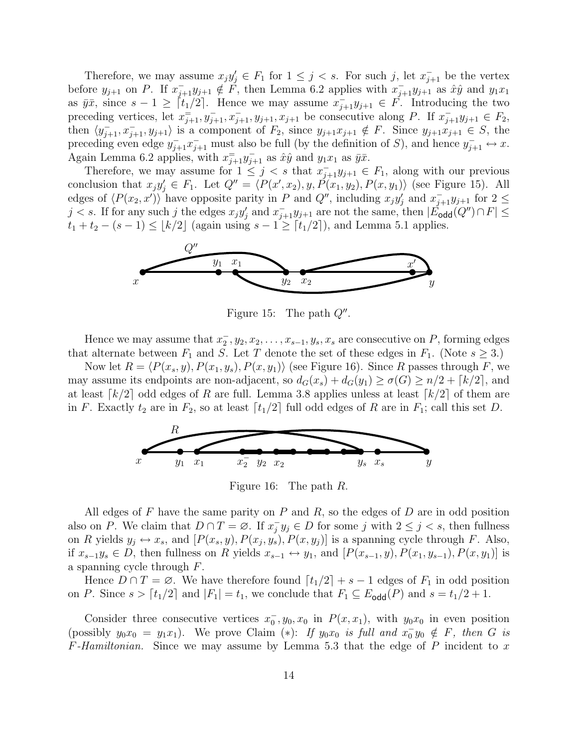Therefore, we may assume  $x_j y'_j \in F_1$  for  $1 \leq j < s$ . For such j, let  $x_{j+1}^-$  be the vertex before  $y_{j+1}$  on P. If  $x_{j+1}^{-}y_{j+1} \notin \mathring{F}$ , then Lemma 6.2 applies with  $x_{j+1}^{-}y_{j+1}$  as  $\hat{x}\hat{y}$  and  $y_1x_1$ as  $\bar{y}\bar{x}$ , since  $s-1 \geq \lceil t_1/2 \rceil$ . Hence we may assume  $x_{j+1} - \bar{y}_{j+1} \in F$ . Introducing the two preceding vertices, let  $x_{j+1}^-, y_{j+1}^-, x_{j+1}^-, y_{j+1}, x_{j+1}$  be consecutive along P. If  $x_{j+1}^-y_{j+1} \in F_2$ , then  $\langle y_{j+1}^-, x_{j+1}^-, y_{j+1} \rangle$  is a component of  $F_2$ , since  $y_{j+1}x_{j+1} \notin F$ . Since  $y_{j+1}x_{j+1} \in S$ , the preceding even edge  $y_{j+1}^- x_{j+1}^-$  must also be full (by the definition of S), and hence  $y_{j+1}^- \leftrightarrow x$ . Again Lemma 6.2 applies, with  $x_{j+1}^{-}y_{j+1}^{-}$  as  $\hat{x}\hat{y}$  and  $y_1x_1$  as  $\bar{y}\bar{x}$ .

Therefore, we may assume for  $1 \leq j < s$  that  $x_{j+1}^-, y_{j+1} \in F_1$ , along with our previous conclusion that  $x_j y'_j \in F_1$ . Let  $Q'' = \langle P(x', x_2), y, P(x_1, y_2), P(x, y_1) \rangle$  (see Figure 15). All edges of  $\langle P(x_2, x')\rangle$  have opposite parity in P and Q'', including  $x_jy'_j$  and  $x_{j+1}$  for  $2 \leq$  $j < s$ . If for any such j the edges  $x_j y'_j$  and  $x_{j+1}^- y_{j+1}$  are not the same, then  $|\cancel{E}_{\text{odd}}(Q'') \cap F| \le$  $t_1 + t_2 - (s - 1) \leq \lfloor k/2 \rfloor$  (again using  $s - 1 \geq \lceil t_1/2 \rceil$ ), and Lemma 5.1 applies.



Figure 15: The path  $Q''$ .

Hence we may assume that  $x_2^-, y_2, x_2, \ldots, x_{s-1}, y_s, x_s$  are consecutive on P, forming edges that alternate between  $F_1$  and S. Let T denote the set of these edges in  $F_1$ . (Note  $s \geq 3$ .)

Now let  $R = \langle P(x_s, y), P(x_1, y_s), P(x, y_1) \rangle$  (see Figure 16). Since R passes through F, we may assume its endpoints are non-adjacent, so  $d_G(x_s) + d_G(y_1) \ge \sigma(G) \ge n/2 + \lceil k/2 \rceil$ , and at least  $\lceil k/2 \rceil$  odd edges of R are full. Lemma 3.8 applies unless at least  $\lceil k/2 \rceil$  of them are in F. Exactly  $t_2$  are in  $F_2$ , so at least  $\lceil t_1/2 \rceil$  full odd edges of R are in  $F_1$ ; call this set D.



Figure 16: The path R.

All edges of  $F$  have the same parity on  $P$  and  $R$ , so the edges of  $D$  are in odd position also on P. We claim that  $D \cap T = \emptyset$ . If  $x_i^$  $j \ y_j \in D$  for some j with  $2 \leq j < s$ , then fullness on R yields  $y_j \leftrightarrow x_s$ , and  $[P(x_s, y), P(x_j, y_s), P(x, y_j)]$  is a spanning cycle through F. Also, if  $x_{s-1}y_s \in D$ , then fullness on R yields  $x_{s-1} \leftrightarrow y_1$ , and  $[P(x_{s-1}, y), P(x_1, y_{s-1}), P(x, y_1)]$  is a spanning cycle through F.

Hence  $D \cap T = \emptyset$ . We have therefore found  $\lceil t_1/2 \rceil + s - 1$  edges of  $F_1$  in odd position on P. Since  $s > [t_1/2]$  and  $|F_1| = t_1$ , we conclude that  $F_1 \subseteq E_{\text{odd}}(P)$  and  $s = t_1/2 + 1$ .

Consider three consecutive vertices  $x_0^-, y_0, x_0$  in  $P(x, x_1)$ , with  $y_0x_0$  in even position (possibly  $y_0x_0 = y_1x_1$ ). We prove Claim (\*): If  $y_0x_0$  is full and  $x_0^{\dagger}y_0 \notin F$ , then G is  $F$ -Hamiltonian. Since we may assume by Lemma 5.3 that the edge of P incident to x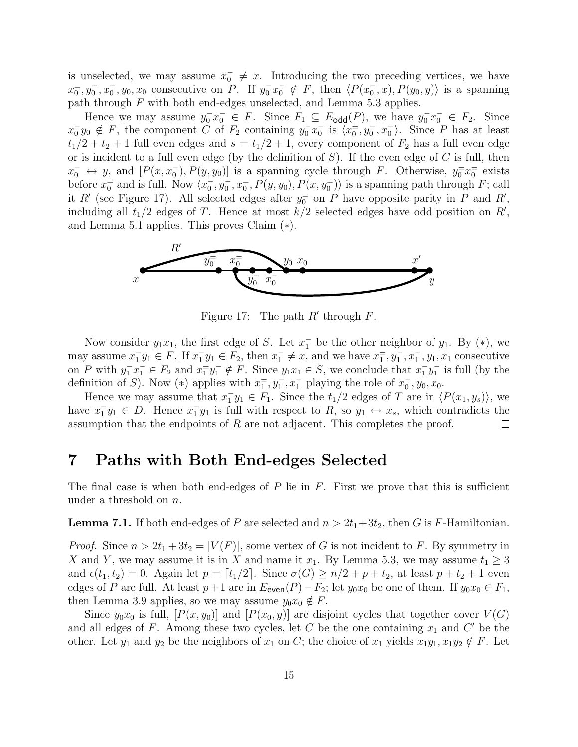is unselected, we may assume  $x_0^- \neq x$ . Introducing the two preceding vertices, we have  $x_0^-, y_0^-, x_0^-, y_0, x_0$  consecutive on P. If  $y_0^-, x_0^- \notin F$ , then  $\langle P(x_0^-, x), P(y_0, y) \rangle$  is a spanning path through F with both end-edges unselected, and Lemma 5.3 applies.

Hence we may assume  $y_0^-, x_0^- \in F$ . Since  $F_1 \subseteq E_{\text{odd}}(P)$ , we have  $y_0^-, x_0^- \in F_2$ . Since  $x_0^-, y_0 \notin F$ , the component C of  $F_2$  containing  $y_0^-, x_0^-$  is  $\langle x_0^-, y_0^-, x_0^- \rangle$ . Since P has at least  $t_1/2 + t_2 + 1$  full even edges and  $s = t_1/2 + 1$ , every component of  $F_2$  has a full even edge or is incident to a full even edge (by the definition of  $S$ ). If the even edge of  $C$  is full, then  $x_0^- \leftrightarrow y$ , and  $[P(x, x_0^-), P(y, y_0)]$  is a spanning cycle through F. Otherwise,  $y_0^{\pm} x_0^{\pm}$  exists before  $x_0^{\pm}$  and is full. Now  $\langle x_0^-, y_0^-, x_0^{\pm}, P(y, y_0), P(x, y_0^{\pm})\rangle$  is a spanning path through F; call it R' (see Figure 17). All selected edges after  $y_0^{\pm}$  on P have opposite parity in P and R', including all  $t_1/2$  edges of T. Hence at most  $k/2$  selected edges have odd position on R', and Lemma 5.1 applies. This proves Claim (∗).



Figure 17: The path  $R'$  through  $F$ .

Now consider  $y_1x_1$ , the first edge of S. Let  $x_1^-$  be the other neighbor of  $y_1$ . By  $(*)$ , we may assume  $x_1^-y_1 \in F$ . If  $x_1^-y_1 \in F_2$ , then  $x_1^- \neq x$ , and we have  $x_1^-, y_1^-, x_1^-, y_1, x_1$  consecutive on P with  $y_1^- x_1^- \in F_2$  and  $x_1^= y_1^- \notin F$ . Since  $y_1 x_1 \in S$ , we conclude that  $x_1^- y_1^-$  is full (by the definition of S). Now (\*) applies with  $x_1^-, y_1^-, x_1^-$  playing the role of  $x_0^-, y_0, x_0$ .

Hence we may assume that  $x_1^-\mathbf{y}_1 \in F_1$ . Since the  $t_1/2$  edges of T are in  $\langle P(x_1, y_s) \rangle$ , we have  $x_1^{\dagger}y_1 \in D$ . Hence  $x_1^{\dagger}y_1$  is full with respect to R, so  $y_1 \leftrightarrow x_s$ , which contradicts the assumption that the endpoints of  $R$  are not adjacent. This completes the proof.  $\Box$ 

# 7 Paths with Both End-edges Selected

The final case is when both end-edges of  $P$  lie in  $F$ . First we prove that this is sufficient under a threshold on  $n$ .

**Lemma 7.1.** If both end-edges of P are selected and  $n > 2t_1+3t_2$ , then G is F-Hamiltonian.

*Proof.* Since  $n > 2t_1 + 3t_2 = |V(F)|$ , some vertex of G is not incident to F. By symmetry in X and Y, we may assume it is in X and name it  $x_1$ . By Lemma 5.3, we may assume  $t_1 \geq 3$ and  $\epsilon(t_1, t_2) = 0$ . Again let  $p = \lceil t_1/2 \rceil$ . Since  $\sigma(G) \geq n/2 + p + t_2$ , at least  $p + t_2 + 1$  even edges of P are full. At least  $p+1$  are in  $E_{\text{even}}(P)-F_2$ ; let  $y_0x_0$  be one of them. If  $y_0x_0 \in F_1$ , then Lemma 3.9 applies, so we may assume  $y_0x_0 \notin F$ .

Since  $y_0x_0$  is full,  $[P(x, y_0)]$  and  $[P(x_0, y)]$  are disjoint cycles that together cover  $V(G)$ and all edges of F. Among these two cycles, let C be the one containing  $x_1$  and C' be the other. Let  $y_1$  and  $y_2$  be the neighbors of  $x_1$  on C; the choice of  $x_1$  yields  $x_1y_1, x_1y_2 \notin F$ . Let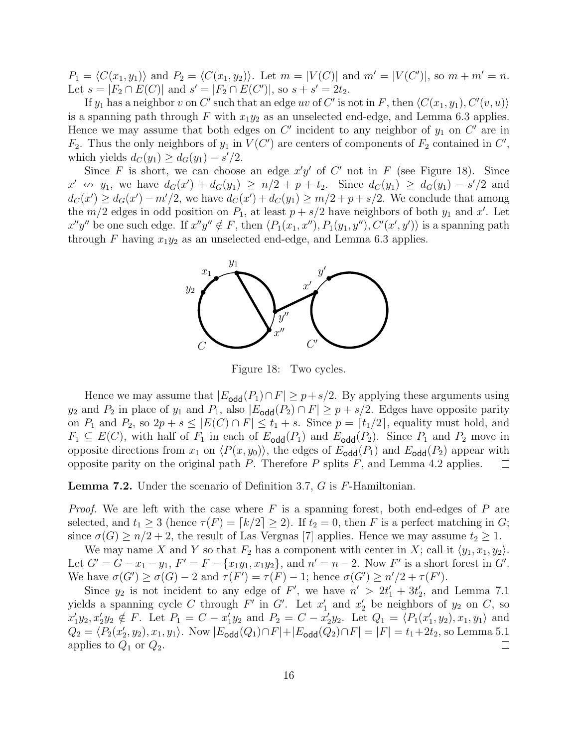$P_1 = \langle C(x_1, y_1) \rangle$  and  $P_2 = \langle C(x_1, y_2) \rangle$ . Let  $m = |V(C)|$  and  $m' = |V(C')|$ , so  $m + m' = n$ . Let  $s = |F_2 \cap E(C)|$  and  $s' = |F_2 \cap E(C')|$ , so  $s + s' = 2t_2$ .

If  $y_1$  has a neighbor v on C' such that an edge uv of C' is not in F, then  $\langle C(x_1, y_1), C'(v, u) \rangle$ is a spanning path through F with  $x_1y_2$  as an unselected end-edge, and Lemma 6.3 applies. Hence we may assume that both edges on  $C'$  incident to any neighbor of  $y_1$  on  $C'$  are in  $F_2$ . Thus the only neighbors of  $y_1$  in  $V(C')$  are centers of components of  $F_2$  contained in  $C'$ , which yields  $d_C(y_1) \geq d_G(y_1) - s'/2$ .

Since F is short, we can choose an edge  $x'y'$  of C' not in F (see Figure 18). Since  $x' \leftrightarrow y_1$ , we have  $d_G(x') + d_G(y_1) \ge n/2 + p + t_2$ . Since  $d_G(y_1) \ge d_G(y_1) - s'/2$  and  $d_C(x') \ge d_G(x') - m'/2$ , we have  $d_C(x') + d_C(y_1) \ge m/2 + p + s/2$ . We conclude that among the  $m/2$  edges in odd position on  $P_1$ , at least  $p + s/2$  have neighbors of both  $y_1$  and  $x'$ . Let  $x''y''$  be one such edge. If  $x''y'' \notin F$ , then  $\langle P_1(x_1, x''), P_1(y_1, y''), C'(x', y')\rangle$  is a spanning path through F having  $x_1y_2$  as an unselected end-edge, and Lemma 6.3 applies.



Figure 18: Two cycles.

Hence we may assume that  $|E_{\text{odd}}(P_1) \cap F| \geq p + s/2$ . By applying these arguments using  $y_2$  and  $P_2$  in place of  $y_1$  and  $P_1$ , also  $|E_{\text{odd}}(P_2) \cap F| \geq p + s/2$ . Edges have opposite parity on  $P_1$  and  $P_2$ , so  $2p + s \leq |E(C) \cap F| \leq t_1 + s$ . Since  $p = [t_1/2]$ , equality must hold, and  $F_1 \subseteq E(C)$ , with half of  $F_1$  in each of  $E_{\text{odd}}(P_1)$  and  $E_{\text{odd}}(P_2)$ . Since  $P_1$  and  $P_2$  move in opposite directions from  $x_1$  on  $\langle P(x, y_0) \rangle$ , the edges of  $E_{\text{odd}}(P_1)$  and  $E_{\text{odd}}(P_2)$  appear with opposite parity on the original path  $P$ . Therefore  $P$  splits  $F$ , and Lemma 4.2 applies.  $\Box$ 

Lemma 7.2. Under the scenario of Definition 3.7, G is F-Hamiltonian.

*Proof.* We are left with the case where F is a spanning forest, both end-edges of P are selected, and  $t_1 \geq 3$  (hence  $\tau(F) = \lceil k/2 \rceil \geq 2$ ). If  $t_2 = 0$ , then F is a perfect matching in G; since  $\sigma(G) \geq n/2 + 2$ , the result of Las Vergnas [7] applies. Hence we may assume  $t_2 \geq 1$ .

We may name X and Y so that  $F_2$  has a component with center in X; call it  $\langle y_1, x_1, y_2 \rangle$ . Let  $G' = G - x_1 - y_1$ ,  $F' = F - \{x_1y_1, x_1y_2\}$ , and  $n' = n - 2$ . Now  $F'$  is a short forest in  $G'$ . We have  $\sigma(G') \ge \sigma(G) - 2$  and  $\tau(F') = \tau(F) - 1$ ; hence  $\sigma(G') \ge n'/2 + \tau(F')$ .

Since  $y_2$  is not incident to any edge of F', we have  $n' > 2t'_1 + 3t'_2$ , and Lemma 7.1 yields a spanning cycle C through  $F'$  in  $G'$ . Let  $x'_1$  and  $x'_2$  be neighbors of  $y_2$  on C, so  $x'_1y_2, x'_2y_2 \notin F$ . Let  $P_1 = C - x'_1y_2$  and  $P_2 = C - x'_2y_2$ . Let  $Q_1 = \langle P_1(x'_1, y_2), x_1, y_1 \rangle$  and  $Q_2 = \langle P_2(x'_2, y_2), x_1, y_1 \rangle$ . Now  $|E_{\text{odd}}(Q_1) \cap F| + |E_{\text{odd}}(Q_2) \cap F| = |F| = t_1 + 2t_2$ , so Lemma 5.1 applies to  $Q_1$  or  $Q_2$ .  $\Box$